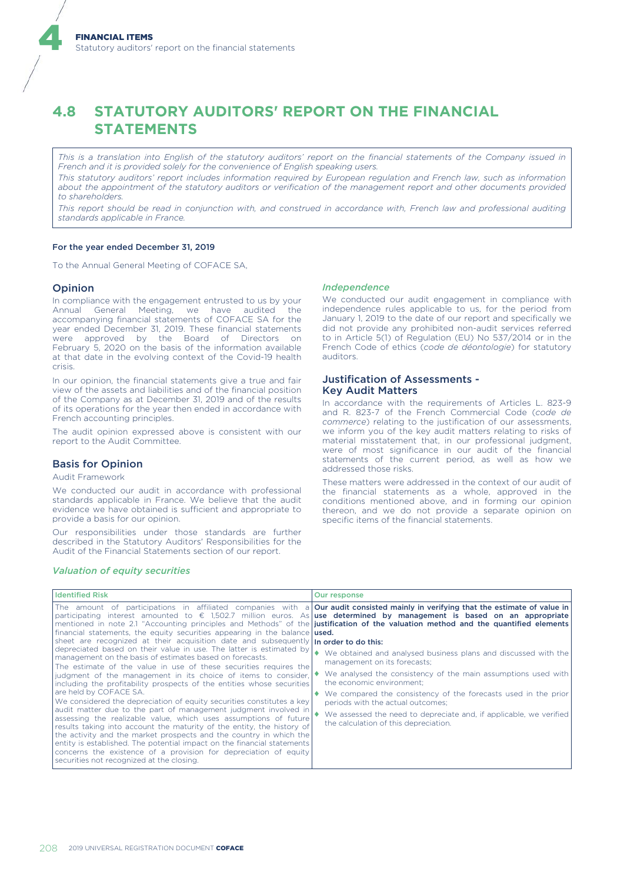# **4.8 STATUTORY AUDITORS' REPORT ON THE FINANCIAL STATEMENTS**

*This is a translation into English of the statutory auditors' report on the financial statements of the Company issued in French and it is provided solely for the convenience of English speaking users.*

*This statutory auditors' report includes information required by European regulation and French law, such as information about the appointment of the statutory auditors or verification of the management report and other documents provided to shareholders.*

*This report should be read in conjunction with, and construed in accordance with, French law and professional auditing standards applicable in France.*

# For the year ended December 31, 2019

To the Annual General Meeting of COFACE SA,

# Opinion

4

In compliance with the engagement entrusted to us by your Annual General Meeting, we have audited the accompanying financial statements of COFACE SA for the year ended December 31, 2019. These financial statements were approved by the Board of Directors on February 5, 2020 on the basis of the information available at that date in the evolving context of the Covid-19 health crisis.

In our opinion, the financial statements give a true and fair view of the assets and liabilities and of the financial position of the Company as at December 31, 2019 and of the results of its operations for the year then ended in accordance with French accounting principles.

The audit opinion expressed above is consistent with our report to the Audit Committee.

# Basis for Opinion

# Audit Framework

We conducted our audit in accordance with professional standards applicable in France. We believe that the audit evidence we have obtained is sufficient and appropriate to provide a basis for our opinion.

Our responsibilities under those standards are further described in the Statutory Auditors' Responsibilities for the Audit of the Financial Statements section of our report.

#### *Independence*

We conducted our audit engagement in compliance with independence rules applicable to us, for the period from January 1, 2019 to the date of our report and specifically we did not provide any prohibited non-audit services referred to in Article 5(1) of Regulation (EU) No 537/2014 or in the French Code of ethics (*code de déontologie*) for statutory auditors.

# Justification of Assessments - Key Audit Matters

In accordance with the requirements of Articles L. 823-9 and R. 823-7 of the French Commercial Code (*code de commerce*) relating to the justification of our assessments, we inform you of the key audit matters relating to risks of material misstatement that, in our professional judgment, were of most significance in our audit of the financial statements of the current period, as well as how we addressed those risks.

These matters were addressed in the context of our audit of the financial statements as a whole, approved in the conditions mentioned above, and in forming our opinion thereon, and we do not provide a separate opinion on specific items of the financial statements.

#### *Valuation of equity securities*

| <b>Identified Risk</b>                                                                                                                                                                                                                                                                                                                                                                                                                                                          | Our response                                                                                                                                                                                                                                                                                                                                                                                                      |
|---------------------------------------------------------------------------------------------------------------------------------------------------------------------------------------------------------------------------------------------------------------------------------------------------------------------------------------------------------------------------------------------------------------------------------------------------------------------------------|-------------------------------------------------------------------------------------------------------------------------------------------------------------------------------------------------------------------------------------------------------------------------------------------------------------------------------------------------------------------------------------------------------------------|
| financial statements, the equity securities appearing in the balance used.                                                                                                                                                                                                                                                                                                                                                                                                      | The amount of participations in affiliated companies with a <b>Our audit consisted mainly in verifying that the estimate of value in</b><br>participating interest amounted to $\epsilon$ 1,502.7 million euros. As use determined by management is based on an appropriate<br>mentioned in note 2.1 "Accounting principles and Methods" of the justification of the valuation method and the quantified elements |
| sheet are recognized at their acquisition date and subsequently In order to do this:                                                                                                                                                                                                                                                                                                                                                                                            |                                                                                                                                                                                                                                                                                                                                                                                                                   |
| depreciated based on their value in use. The latter is estimated by<br>management on the basis of estimates based on forecasts.<br>The estimate of the value in use of these securities requires the                                                                                                                                                                                                                                                                            | We obtained and analysed business plans and discussed with the<br>management on its forecasts;                                                                                                                                                                                                                                                                                                                    |
| judgment of the management in its choice of items to consider,<br>including the profitability prospects of the entities whose securities                                                                                                                                                                                                                                                                                                                                        | We analysed the consistency of the main assumptions used with<br>the economic environment;                                                                                                                                                                                                                                                                                                                        |
| are held by COFACE SA.<br>We considered the depreciation of equity securities constitutes a key                                                                                                                                                                                                                                                                                                                                                                                 | We compared the consistency of the forecasts used in the prior<br>periods with the actual outcomes;                                                                                                                                                                                                                                                                                                               |
| audit matter due to the part of management judgment involved in<br>assessing the realizable value, which uses assumptions of future<br>results taking into account the maturity of the entity, the history of<br>the activity and the market prospects and the country in which the<br>entity is established. The potential impact on the financial statements<br>concerns the existence of a provision for depreciation of equity<br>securities not recognized at the closing. | We assessed the need to depreciate and, if applicable, we verified<br>the calculation of this depreciation.                                                                                                                                                                                                                                                                                                       |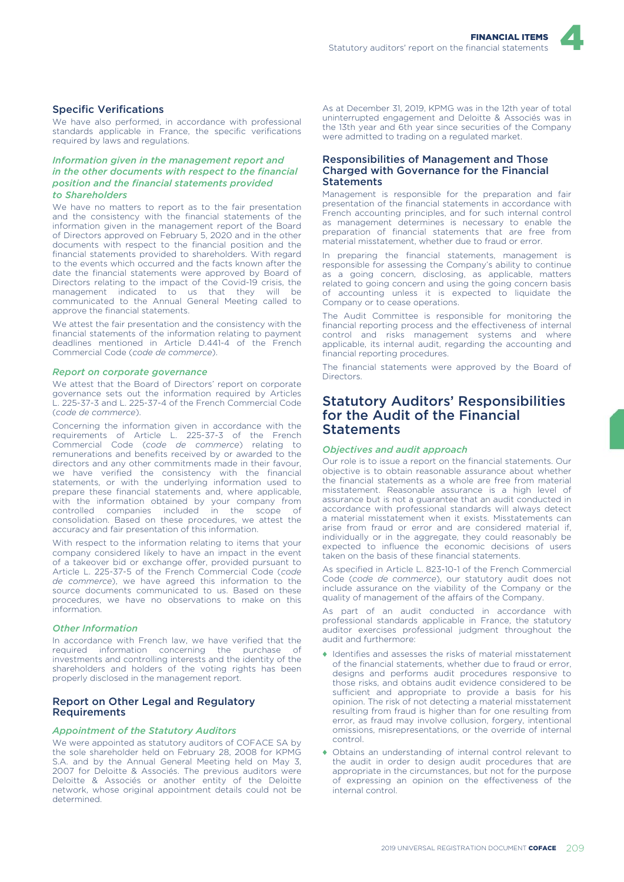

# Specific Verifications

We have also performed, in accordance with professional standards applicable in France, the specific verifications required by laws and regulations.

# *Information given in the management report and in the other documents with respect to the financial position and the financial statements provided to Shareholders*

We have no matters to report as to the fair presentation and the consistency with the financial statements of the information given in the management report of the Board of Directors approved on February 5, 2020 and in the other documents with respect to the financial position and the financial statements provided to shareholders. With regard to the events which occurred and the facts known after the date the financial statements were approved by Board of Directors relating to the impact of the Covid-19 crisis, the management indicated to us that they will be communicated to the Annual General Meeting called to approve the financial statements.

We attest the fair presentation and the consistency with the financial statements of the information relating to payment deadlines mentioned in Article D.441-4 of the French Commercial Code (*code de commerce*).

#### *Report on corporate governance*

We attest that the Board of Directors' report on corporate governance sets out the information required by Articles L. 225-37-3 and L. 225-37-4 of the French Commercial Code (*code de commerce*).

Concerning the information given in accordance with the requirements of Article L. 225-37-3 of the French Commercial Code (*code de commerce*) relating to remunerations and benefits received by or awarded to the directors and any other commitments made in their favour, we have verified the consistency with the financial statements, or with the underlying information used to prepare these financial statements and, where applicable, with the information obtained by your company from controlled companies included in the scope of consolidation. Based on these procedures, we attest the accuracy and fair presentation of this information.

With respect to the information relating to items that your company considered likely to have an impact in the event of a takeover bid or exchange offer, provided pursuant to Article L. 225-37-5 of the French Commercial Code (*code de commerce*), we have agreed this information to the source documents communicated to us. Based on these procedures, we have no observations to make on this information.

# *Other Information*

In accordance with French law, we have verified that the required information concerning the purchase of investments and controlling interests and the identity of the shareholders and holders of the voting rights has been properly disclosed in the management report.

# Report on Other Legal and Regulatory Requirements

#### *Appointment of the Statutory Auditors*

We were appointed as statutory auditors of COFACE SA by the sole shareholder held on February 28, 2008 for KPMG S.A. and by the Annual General Meeting held on May 3, 2007 for Deloitte & Associés. The previous auditors were Deloitte & Associés or another entity of the Deloitte network, whose original appointment details could not be determined.

As at December 31, 2019, KPMG was in the 12th year of total uninterrupted engagement and Deloitte & Associés was in the 13th year and 6th year since securities of the Company were admitted to trading on a regulated market.

# Responsibilities of Management and Those Charged with Governance for the Financial **Statements**

Management is responsible for the preparation and fair presentation of the financial statements in accordance with French accounting principles, and for such internal control as management determines is necessary to enable the preparation of financial statements that are free from material misstatement, whether due to fraud or error.

In preparing the financial statements, management is responsible for assessing the Company's ability to continue as a going concern, disclosing, as applicable, matters related to going concern and using the going concern basis of accounting unless it is expected to liquidate the Company or to cease operations.

The Audit Committee is responsible for monitoring the financial reporting process and the effectiveness of internal control and risks management systems and where applicable, its internal audit, regarding the accounting and financial reporting procedures.

The financial statements were approved by the Board of Directors.

# Statutory Auditors' Responsibilities for the Audit of the Financial **Statements**

# *Objectives and audit approach*

Our role is to issue a report on the financial statements. Our objective is to obtain reasonable assurance about whether the financial statements as a whole are free from material misstatement. Reasonable assurance is a high level of assurance but is not a guarantee that an audit conducted in accordance with professional standards will always detect a material misstatement when it exists. Misstatements can arise from fraud or error and are considered material if individually or in the aggregate, they could reasonably be expected to influence the economic decisions of users taken on the basis of these financial statements.

As specified in Article L. 823-10-1 of the French Commercial Code (*code de commerce*), our statutory audit does not include assurance on the viability of the Company or the quality of management of the affairs of the Company.

As part of an audit conducted in accordance with professional standards applicable in France, the statutory auditor exercises professional judgment throughout the audit and furthermore:

- ♦ Identifies and assesses the risks of material misstatement of the financial statements, whether due to fraud or error, designs and performs audit procedures responsive to those risks, and obtains audit evidence considered to be sufficient and appropriate to provide a basis for his opinion. The risk of not detecting a material misstatement resulting from fraud is higher than for one resulting from error, as fraud may involve collusion, forgery, intentional omissions, misrepresentations, or the override of internal control.
- ♦ Obtains an understanding of internal control relevant to the audit in order to design audit procedures that are appropriate in the circumstances, but not for the purpose of expressing an opinion on the effectiveness of the internal control.